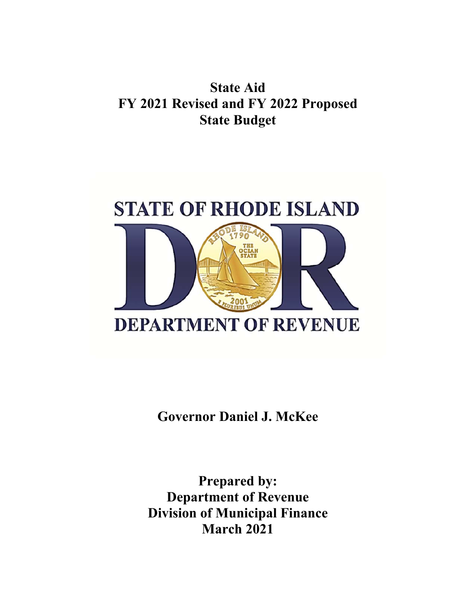## **State Aid FY 2021 Revised and FY 2022 Proposed State Budget**



**Governor Daniel J. McKee** 

**Prepared by: Department of Revenue Division of Municipal Finance March 2021**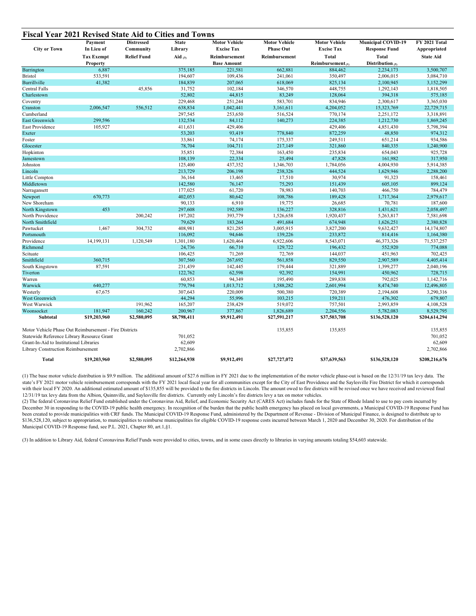| <b>City or Town</b>                                    | Payment<br>In Lieu of | <b>Distressed</b><br>Community | <b>State</b><br>Library | <b>Motor Vehicle</b><br><b>Excise Tax</b> | <b>Motor Vehicle</b><br><b>Phase Out</b> | <b>Motor Vehicle</b><br><b>Excise Tax</b> | <b>Municipal COVID-19</b><br><b>Response Fund</b> | FY 2021 Total<br>Appropriated |
|--------------------------------------------------------|-----------------------|--------------------------------|-------------------------|-------------------------------------------|------------------------------------------|-------------------------------------------|---------------------------------------------------|-------------------------------|
|                                                        | <b>Tax Exempt</b>     | <b>Relief Fund</b>             | Aid $(a)$               | Reimbursement                             | Reimbursement                            | Total                                     | Total                                             | <b>State Aid</b>              |
|                                                        | Property              |                                |                         | <b>Base Amount</b>                        |                                          | Reimbursement $\alpha$                    | Distribution $(2)$                                |                               |
| Barrington                                             | 6,887                 |                                | 375,185                 | 221,581                                   | 662,881                                  | 884,462                                   | 2,234,173                                         | 3,500,707                     |
| <b>Bristol</b>                                         | 533,591               |                                | 194,607                 | 109,436                                   | 241,061                                  | 350,497                                   | 2,006,015                                         | 3,084,710                     |
| <b>Burrillville</b>                                    | 41,382                |                                | 184,839                 | 207,065                                   | 618,069                                  | 825,134                                   | 2,100,945                                         | 3,152,299                     |
| Central Falls                                          |                       | 45,856                         | 31,752                  | 102,184                                   | 346,570                                  | 448,755                                   | 1,292,143                                         | 1,818,505                     |
| Charlestown                                            |                       |                                | 52,802                  | 44,815                                    | 83,249                                   | 128,064                                   | 394,318                                           | 575,185                       |
| Coventry                                               |                       |                                | 229,468                 | 251,244                                   | 583,701                                  | 834,946                                   | 2,300,617                                         | 3,365,030                     |
| Cranston                                               | 2,006,547             | 556,512                        | 638,834                 | 1,042,441                                 | 3,161,611                                | 4,204,052                                 | 15,323,769                                        | 22,729,715                    |
| Cumberland                                             |                       |                                | 297,545                 | 253,650                                   | 516,524                                  | 770,174                                   | 2,251,172                                         | 3,318,891                     |
| <b>East Greenwich</b>                                  | 299,596               |                                | 132,534                 | 84,112                                    | 140,273                                  | 224,385                                   | 1,212,730                                         | 1,869,245                     |
| East Providence                                        | 105,927               |                                | 411,631                 | 429,406                                   |                                          | 429,406                                   | 4,851,430                                         | 5,798,394                     |
| Exeter                                                 |                       |                                | 53,203                  | 93,419                                    | 778,840                                  | 872,259                                   | 48,850                                            | 974.312                       |
| Foster                                                 |                       |                                | 33,861                  | 74,174                                    | 175,337                                  | 249,511                                   | 651,214                                           | 934,586                       |
| Glocester                                              |                       |                                | 78,704                  | 104,711                                   | 217,149                                  | 321,860                                   | 840,335                                           | 1,240,900                     |
| Hopkinton                                              |                       |                                | 35,851                  | 72,384                                    | 163,450                                  | 235,834                                   | 654,043                                           | 925,728                       |
| Jamestown                                              |                       |                                | 108,139                 | 22,334                                    | 25,494                                   | 47,828                                    | 161,982                                           | 317,950                       |
| Johnston                                               |                       |                                | 125,400                 | 437,352                                   | 1,346,703                                | 1,784,056                                 | 4,004,930                                         | 5,914,385                     |
| Lincoln                                                |                       |                                | 213,729                 | 206,198                                   | 238,326                                  | 444,524                                   | 1,629,946                                         | 2,288,200                     |
| Little Compton                                         |                       |                                | 36,164                  | 13,465                                    | 17,510                                   | 30,974                                    | 91,323                                            | 158,461                       |
| Middletown                                             |                       |                                | 142,580                 | 76,147                                    | 75,293                                   | 151,439                                   | 605,105                                           | 899,124                       |
| Narragansett                                           |                       |                                | 177,025                 | 61,720                                    | 78,983                                   | 140,703                                   | 466,750                                           | 784,479                       |
| Newport                                                | 670,773               |                                | 402,053                 | 80,642                                    | 108,786                                  | 189,428                                   | 1,717,364                                         | 2,979,617                     |
| New Shoreham                                           |                       |                                | 90,133                  | 6,910                                     | 19,775                                   | 26,685                                    | 70,781                                            | 187,600                       |
| North Kingstown                                        | 453                   |                                | 297,608                 | 192,589                                   | 136,227                                  | 328,816                                   | 1,431,621                                         | 2,058,497                     |
| North Providence                                       |                       | 200,242                        | 197,202                 | 393,779                                   | 1,526,658                                | 1,920,437                                 | 5,263,817                                         | 7,581,698                     |
| North Smithfield                                       |                       |                                | 79,629                  | 183,264                                   | 491,684                                  | 674,948                                   | 1,626,251                                         | 2,380,828                     |
| Pawtucket                                              | 1,467                 | 304,732                        | 408,981                 | 821,285                                   | 3,005,915                                | 3,827,200                                 | 9,632,427                                         | 14,174,807                    |
| Portsmouth                                             |                       |                                | 116,092                 | 94,646                                    | 139,226                                  | 233,872                                   | 814,416                                           | 1,164,380                     |
| Providence                                             | 14,199,131            | 1,120,549                      | 1,301,180               | 1,620,464                                 | 6,922,606                                | 8,543,071                                 | 46,373,326                                        | 71,537,257                    |
| Richmond                                               |                       |                                | 24,736                  | 66,710                                    | 129,722                                  | 196,432                                   | 552,920                                           | 774,088                       |
| Scituate                                               |                       |                                | 106,425                 | 71,269                                    | 72,769                                   | 144,037                                   | 451,963                                           | 702,425                       |
| Smithfield                                             | 360,715               |                                | 307,560                 | 267,692                                   | 561,858                                  | 829,550                                   | 2,907,589                                         | 4,405,414                     |
| South Kingstown                                        | 87,591                |                                | 231,439                 | 142,445                                   | 179,444                                  | 321,889                                   | 1,399,277                                         | 2,040,196                     |
| Tiverton                                               |                       |                                | 122,762                 | 62,598                                    | 92,392                                   | 154,991                                   | 450,962                                           | 728,715                       |
| Warren                                                 |                       |                                | 60,853                  | 94,349                                    | 195,490                                  | 289,838                                   | 792,025                                           | 1,142,716                     |
| Warwick                                                | 640,277               |                                | 779,794                 | 1,013,712                                 | 1,588,282                                | 2,601,994                                 | 8,474,740                                         | 12,496,805                    |
| Westerly                                               | 67,675                |                                | 307,643                 | 220,009                                   | 500,380                                  | 720,389                                   | 2,194,608                                         | 3,290,316                     |
| West Greenwich                                         |                       |                                | 44,294                  | 55,996                                    | 103,215                                  | 159,211                                   | 476,302                                           | 679,807                       |
| West Warwick                                           |                       | 191,962                        | 165,207                 | 238,429                                   | 519,072                                  | 757,501                                   | 2,993,859                                         | 4,108,528                     |
| Woonsocket                                             | 181,947               | 160,242                        | 200,967                 | 377,867                                   | 1,826,689                                | 2,204,556                                 | 5,782,083                                         | 8,529,795                     |
| Subtotal                                               | \$19,203,960          | \$2,580,095                    | \$8,798,411             | \$9,912,491                               | \$27,591,217                             | \$37,503,708                              | \$136,528,120                                     | \$204,614,294                 |
| Motor Vehicle Phase Out Reimbursement - Fire Districts |                       |                                |                         |                                           | 135,855                                  | 135,855                                   |                                                   | 135,855                       |
| Statewide Reference Library Resource Grant             |                       |                                | 701,052                 |                                           |                                          |                                           |                                                   | 701,052                       |
| Grant-In-Aid to Institutional Libraries                |                       |                                | 62,609                  |                                           |                                          |                                           |                                                   | 62,609                        |
| Library Construction Reimbursement                     |                       |                                | 2,702,866               |                                           |                                          |                                           |                                                   | 2,702,866                     |
| Total                                                  | \$19,203,960          | \$2,580,095                    | \$12,264,938            | \$9,912,491                               | \$27,727,072                             | \$37,639,563                              | \$136,528,120                                     | \$208,216,676                 |

(1) The base motor vehicle distribution is \$9.9 million. The additional amount of \$27.6 million in FY 2021 due to the implementation of the motor vehicle phase-out is based on the 12/31/19 tax levy data. The state's FY 2021 motor vehicle reimbursement corresponds with the FY 2021 local fiscal year for all communities except for the City of East Providence and the Saylesville Fire District for which it corresponds with their local FY 2020. An additional estimated amount of \$135,855 will be provided to the fire districts in Lincoln. The amount owed to fire districts will be revised once we have received and reviewed final 12/31/19 tax levy data from the Albion, Quinnville, and Saylesville fire districts. Currently only Lincoln's fire districts levy a tax on motor vehicles.

(2) The federal Coronavirus Relief Fund established under the Coronavirus Aid, Relief, and Economic Security Act (CARES Act) includes funds for the State of Rhode Island to use to pay costs incurred by December 30 in responding to the COVID-19 public health emergency. In recognition of the burden that the public health emergency has placed on local governments, a Municipal COVID-19 Response Fund has been created to provide municipalities with CRF funds. The Municipal COVID-19 Response Fund, administered by the Department of Revenue - Division of Municipal Finance, is designed to distribute up to \$136,528,120, subject to appropriation, to municipalities to reimburse municipalities for eligible COVID-19 response costs incurred between March 1, 2020 and December 30, 2020. For distribution of the Municipal COVID-19 Response fund, see P.L. 2021, Chapter 80, art.1,§1.

(3) In addition to Library Aid, federal Coronavirus Relief Funds were provided to cities, towns, and in some cases directly to libraries in varying amounts totaling \$54,603 statewide.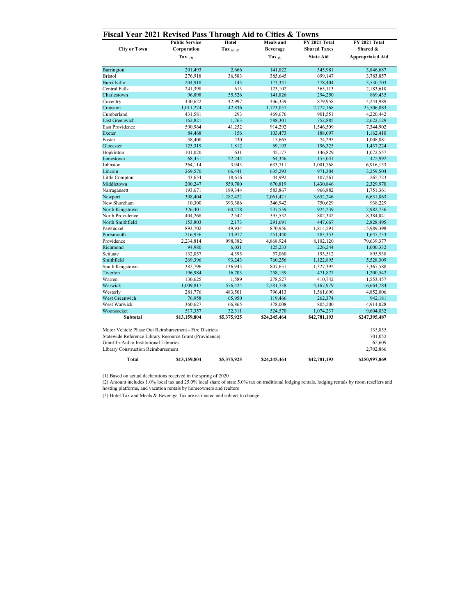|                                                                               | <b>Public Service</b> | Hotel       | <b>Meals</b> and | FY 2021 Total       | FY 2021 Total           |  |
|-------------------------------------------------------------------------------|-----------------------|-------------|------------------|---------------------|-------------------------|--|
| <b>City or Town</b>                                                           | Corporation           | Tax (2) (3) | <b>Beverage</b>  | <b>Shared Taxes</b> | Shared &                |  |
|                                                                               | Tax $(1)$             |             | Tax $_{(3)}$     | <b>State Aid</b>    | <b>Appropriated Aid</b> |  |
| Barrington                                                                    | 201,493               | 2,666       | 141,822          | 345,981             | 3,846,687               |  |
| <b>Bristol</b>                                                                | 276,918               | 36,583      | 385,645          | 699,147             | 3,783,857               |  |
| <b>Burrillville</b>                                                           | 204,918               | 145         | 173,341          | 378,404             | 3,530,703               |  |
| <b>Central Falls</b>                                                          | 241,398               | 613         | 123,102          | 365,113             | 2,183,618               |  |
| Charlestown                                                                   | 96,898                | 55,526      | 141,826          | 294,250             | 869,435                 |  |
| Coventry                                                                      | 430,622               | 42,997      | 406,339          | 879,958             | 4,244,989               |  |
| Cranston                                                                      | 1,011,274             | 42,836      | 1,723,057        | 2,777,168           | 25,506,883              |  |
| Cumberland                                                                    | 431,581               | 293         | 469,676          | 901,551             | 4,220,442               |  |
| <b>East Greenwich</b>                                                         | 162,821               | 1.763       | 588,301          | 752,885             | 2,622,129               |  |
| East Providence                                                               | 590,964               | 41,252      | 914,292          | 1,546,509           | 7,344,902               |  |
| Exeter                                                                        | 84,468                | 156         | 103,473          | 188,097             | 1,162,410               |  |
| Foster                                                                        | 58,400                | 230         | 15,665           | 74,295              | 1,008,881               |  |
| Glocester                                                                     | 125,319               | 1.812       | 69,193           | 196,325             | 1,437,224               |  |
| Hopkinton                                                                     | 101,020               | 631         | 45,177           | 146,829             | 1,072,557               |  |
| Jamestown                                                                     | 68,451                | 22,244      | 64,346           | 155,041             | 472,992                 |  |
| Johnston                                                                      | 364,114               | 3,943       | 633,711          | 1,001,768           | 6,916,153               |  |
| Lincoln                                                                       | 269,570               | 66,441      | 635,293          | 971,304             | 3,259,504               |  |
| Little Compton                                                                | 43,654                | 18,616      | 44,992           | 107,261             | 265,723                 |  |
| Middletown                                                                    | 200,247               | 559,780     | 670,819          | 1,430,846           | 2,329,970               |  |
| Narragansett                                                                  | 193,671               | 189,344     | 583,867          | 966,882             | 1,751,361               |  |
| Newport                                                                       | 308,404               | 1,282,422   | 2,061,421        | 3,652,246           | 6,631,863               |  |
| New Shoreham                                                                  | 10,300                | 393,386     | 346,942          | 750,629             | 938,229                 |  |
| North Kingstown                                                               | 326,401               | 60,278      | 537,559          | 924,239             | 2,982,736               |  |
| North Providence                                                              | 404,268               | 2,542       | 395,532          | 802,342             | 8,384,041               |  |
| North Smithfield                                                              | 153,803               | 2,173       | 291,691          | 447,667             | 2,828,495               |  |
| Pawtucket                                                                     | 893,702               | 49,934      | 870,956          | 1,814,591           | 15,989,398              |  |
| Portsmouth                                                                    | 216,936               | 14,977      | 251,440          | 483,353             | 1,647,733               |  |
| Providence                                                                    | 2,234,814             | 998,382     | 4,868,924        | 8,102,120           | 79,639,377              |  |
| Richmond                                                                      | 94,980                | 6,031       | 125,233          | 226,244             | 1,000,332               |  |
| Scituate                                                                      | 132,057               | 4,395       | 57,060           | 193,512             | 895,938                 |  |
| Smithfield                                                                    | 269,396               | 93,243      | 760,256          | 1,122,895           | 5,528,309               |  |
| South Kingstown                                                               | 382,796               | 136,945     | 807,651          | 1,327,392           | 3,367,588               |  |
| Tiverton                                                                      | 196,984               | 16,703      | 258,139          | 471,827             | 1,200,542               |  |
| Warren                                                                        | 130,625               | 1,589       | 278,527          | 410,742             | 1,553,457               |  |
| Warwick                                                                       | 1,009,817             | 576,424     | 2,581,738        | 4,167,979           | 16,664,784              |  |
| Westerly                                                                      | 281,776               | 483,501     | 796,413          | 1,561,690           | 4,852,006               |  |
| West Greenwich                                                                | 76,958                | 65,950      | 119,466          | 262,374             | 942,181                 |  |
| West Warwick                                                                  | 360,627               | 66,865      | 378,008          | 805,500             | 4,914,028               |  |
| Woonsocket                                                                    | 517,357               | 32,311      | 524,570          | 1,074,237           | 9,604,032               |  |
| <b>Subtotal</b>                                                               | \$13,159,804          | \$5,375,925 | \$24,245,464     | \$42,781,193        | \$247,395,487           |  |
| Motor Vehicle Phase Out Reimbursement - Fire Districts                        |                       |             |                  |                     | 135,855<br>701,052      |  |
| Statewide Reference Library Resource Grant (Providence)                       |                       |             |                  |                     |                         |  |
| Grant-In-Aid to Institutional Libraries<br>Library Construction Reimbursement |                       |             |                  |                     | 62,609<br>2,702,866     |  |
|                                                                               |                       | \$5,375,925 | \$24,245,464     | \$42,781,193        | \$250,997,869           |  |

(1) Based on actual declarations received in the spring of 2020

(2) Amount includes 1.0% local tax and 25.0% local share of state 5.0% tax on traditional lodging rentals, lodging rentals by room resellers and hosting platforms, and vacation rentals by homeowners and realtors

(3) Hotel Tax and Meals & Beverage Tax are estimated and subject to change.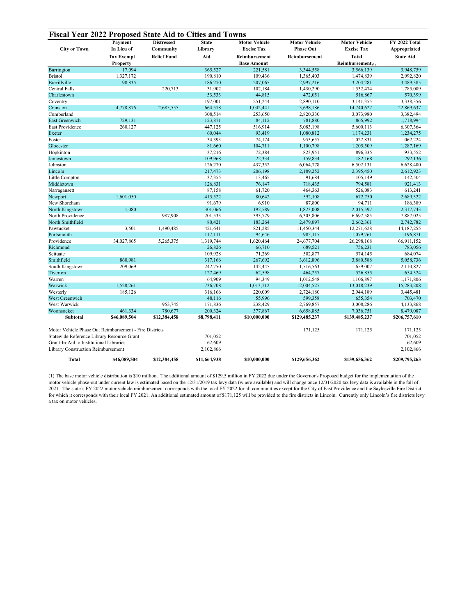| <b>City or Town</b>                                    | Payment<br>In Lieu of | <b>Distressed</b><br>Community | <b>State</b><br>Library | <b>Motor Vehicle</b><br><b>Excise Tax</b> | <b>Motor Vehicle</b><br><b>Phase Out</b> | <b>Motor Vehicle</b><br><b>Excise Tax</b> | FY 2022 Total<br>Appropriated |
|--------------------------------------------------------|-----------------------|--------------------------------|-------------------------|-------------------------------------------|------------------------------------------|-------------------------------------------|-------------------------------|
|                                                        | <b>Tax Exempt</b>     | <b>Relief Fund</b>             | Aid                     | Reimbursement                             | Reimbursement                            | <b>Total</b>                              | <b>State Aid</b>              |
|                                                        | <b>Property</b>       |                                |                         | <b>Base Amount</b>                        |                                          | Reimbursement $(1)$                       |                               |
| Barrington                                             | 17,094                |                                | 365,527                 | 221,581                                   | 3,344,558                                | 3,566,139                                 | 3,948,759                     |
| <b>Bristol</b>                                         | 1,327,172             |                                | 190,810                 | 109,436                                   | 1,365,403                                | 1,474,839                                 | 2,992,820                     |
| Burrillville                                           | 98,835                |                                | 186,270                 | 207,065                                   | 2,997,216                                | 3,204,281                                 | 3,489,385                     |
| Central Falls                                          |                       | 220,713                        | 31,902                  | 102,184                                   | 1,430,290                                | 1,532,474                                 | 1,785,089                     |
| Charlestown                                            |                       |                                | 53,533                  | 44,815                                    | 472,051                                  | 516,867                                   | 570,399                       |
| Coventry                                               |                       |                                | 197,001                 | 251,244                                   | 2,890,110                                | 3,141,355                                 | 3,338,356                     |
| Cranston                                               | 4,778,876             | 2,685,555                      | 664,578                 | 1,042,441                                 | 13,698,186                               | 14,740,627                                | 22,869,637                    |
| Cumberland                                             |                       |                                | 308,514                 | 253,650                                   | 2,820,330                                | 3,073,980                                 | 3,382,494                     |
| East Greenwich                                         | 729,131               |                                | 123,871                 | 84,112                                    | 781,880                                  | 865,992                                   | 1,718,994                     |
| East Providence                                        | 260,127               |                                | 447,125                 | 516,914                                   | 5,083,198                                | 5,600,113                                 | 6,307,364                     |
| Exeter                                                 |                       |                                | 60,044                  | 93,419                                    | 1,080,812                                | 1,174,231                                 | 1,234,275                     |
| Foster                                                 |                       |                                | 34,393                  | 74,174                                    | 953,657                                  | 1,027,831                                 | 1,062,224                     |
| Glocester                                              |                       |                                | 81,660                  | 104,711                                   | 1,100,798                                | 1,205,509                                 | 1,287,169                     |
| Hopkinton                                              |                       |                                | 37,216                  | 72,384                                    | 823,951                                  | 896,335                                   | 933,552                       |
| Jamestown                                              |                       |                                | 109,968                 | 22,334                                    | 159,834                                  | 182,168                                   | 292,136                       |
| Johnston                                               |                       |                                | 126,270                 | 437,352                                   | 6,064,778                                | 6,502,131                                 | 6,628,400                     |
| Lincoln                                                |                       |                                | 217,473                 | 206,198                                   | 2,189,252                                | 2,395,450                                 | 2,612,923                     |
| Little Compton                                         |                       |                                | 37,355                  | 13,465                                    | 91,684                                   | 105,149                                   | 142,504                       |
| Middletown                                             |                       |                                | 126,831                 | 76,147                                    | 718,435                                  | 794,581                                   | 921,413                       |
| Narragansett                                           |                       |                                | 87,158                  | 61,720                                    | 464,363                                  | 526,083                                   | 613,241                       |
| Newport                                                | 1,601,050             |                                | 415,522                 | 80,642                                    | 592,108                                  | 672,750                                   | 2,689,322                     |
| New Shoreham                                           |                       |                                | 91,679                  | 6,910                                     | 87,800                                   | 94,711                                    | 186,389                       |
| North Kingstown                                        | 1,080                 |                                | 301,066                 | 192,589                                   | 1,823,008                                | 2,015,597                                 | 2,317,743                     |
| North Providence                                       |                       | 987,908                        | 201,533                 | 393,779                                   | 6,303,806                                | 6,697,585                                 | 7,887,025                     |
| North Smithfield                                       |                       |                                | 80,421                  | 183,264                                   |                                          |                                           |                               |
| Pawtucket                                              | 3,501                 | 1,490,485                      |                         | 821,285                                   | 2,479,097                                | 2,662,361                                 | 2,742,782                     |
|                                                        |                       |                                | 421,641                 |                                           | 11,450,344                               | 12,271,628                                | 14, 187, 255                  |
| Portsmouth                                             |                       |                                | 117,111                 | 94,646                                    | 985,115                                  | 1,079,761                                 | 1,196,871                     |
| Providence                                             | 34,027,865            | 5,265,375                      | 1,319,744               | 1,620,464                                 | 24,677,704                               | 26,298,168                                | 66,911,152                    |
| Richmond                                               |                       |                                | 26,826                  | 66,710                                    | 689,521                                  | 756,231                                   | 783,056                       |
| Scituate                                               |                       |                                | 109,928                 | 71,269                                    | 502,877                                  | 574,145                                   | 684,074                       |
| Smithfield                                             | 860,981               |                                | 317,166                 | 267,692                                   | 3,612,896                                | 3,880,588                                 | 5,058,736                     |
| South Kingstown                                        | 209,069               |                                | 242,750                 | 142,445                                   | 1,516,563                                | 1,659,007                                 | 2,110,827                     |
| Tiverton                                               |                       |                                | 127,469                 | 62,598                                    | 464,257                                  | 526,855                                   | 654,324                       |
| Warren                                                 |                       |                                | 64,909                  | 94,349                                    | 1,012,548                                | 1,106,897                                 | 1,171,806                     |
| Warwick                                                | 1,528,261             |                                | 736,708                 | 1,013,712                                 | 12,004,527                               | 13,018,239                                | 15,283,208                    |
| Westerly                                               | 185,126               |                                | 316,166                 | 220,009                                   | 2,724,180                                | 2,944,189                                 | 3,445,481                     |
| West Greenwich                                         |                       |                                | 48,116                  | 55,996                                    | 599,358                                  | 655,354                                   | 703,470                       |
| West Warwick                                           |                       | 953,745                        | 171,836                 | 238,429                                   | 2,769,857                                | 3,008,286                                 | 4,133,868                     |
| Woonsocket                                             | 461,334               | 780,677                        | 200,324                 | 377,867                                   | 6,658,885                                | 7,036,751                                 | 8,479,087                     |
| Subtotal                                               | \$46,089,504          | \$12,384,458                   | \$8,798,411             | \$10,000,000                              | \$129,485,237                            | \$139,485,237                             | \$206,757,610                 |
| Motor Vehicle Phase Out Reimbursement - Fire Districts |                       |                                |                         |                                           | 171,125                                  | 171,125                                   | 171,125                       |
| Statewide Reference Library Resource Grant             |                       |                                | 701,052                 |                                           |                                          |                                           | 701,052                       |
| Grant-In-Aid to Institutional Libraries                |                       |                                | 62,609                  |                                           |                                          |                                           | 62,609                        |
| <b>Library Construction Reimbursement</b>              |                       |                                | 2,102,866               |                                           |                                          |                                           | 2,102,866                     |
| <b>Total</b>                                           | \$46,089,504          | \$12,384,458                   | \$11,664,938            | \$10,000,000                              | \$129,656,362                            | \$139,656,362                             | \$209,795,263                 |

(1) The base motor vehicle distribution is \$10 million. The additional amount of \$129.5 million in FY 2022 due under the Governor's Proposed budget for the implementation of the motor vehicle phase-out under current law is estimated based on the 12/31/2019 tax levy data (where available) and will change once 12/31/2020 tax levy data is available in the fall of 2021. The state's FY 2022 motor vehicle reimbursement corresponds with the local FY 2022 for all communities except for the City of East Providence and the Saylesville Fire District for which it corresponds with their local FY 2021. An additional estimated amount of \$171,125 will be provided to the fire districts in Lincoln. Currently only Lincoln's fire districts levy a tax on motor vehicles.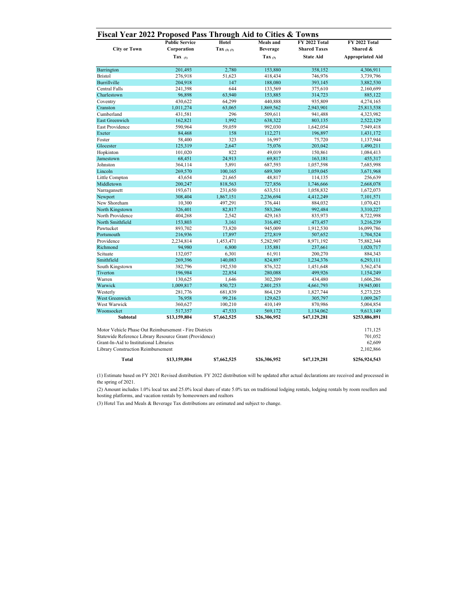|                                           | <b>Public Service</b>                                   | <b>Hotel</b>    | Meals and       | <b>FY 2022 Total</b> | <b>FY 2022 Total</b>    |  |
|-------------------------------------------|---------------------------------------------------------|-----------------|-----------------|----------------------|-------------------------|--|
| <b>City or Town</b>                       | Corporation                                             | Tax $(2)$ $(3)$ | <b>Beverage</b> | <b>Shared Taxes</b>  | Shared &                |  |
|                                           | Tax $(1)$                                               |                 | Tax $(3)$       | <b>State Aid</b>     | <b>Appropriated Aid</b> |  |
| Barrington                                | 201,493                                                 | 2,780           | 153,880         | 358,152              | 4,306,911               |  |
| <b>Bristol</b>                            | 276,918                                                 | 51,623          | 418,434         | 746,976              | 3,739,796               |  |
| Burrillville                              | 204,918                                                 | 147             | 188,080         | 393,145              | 3,882,530               |  |
| <b>Central Falls</b>                      | 241,398                                                 | 644             | 133,569         | 375,610              | 2,160,699               |  |
| Charlestown                               | 96,898                                                  | 63,940          | 153,885         | 314,723              | 885,122                 |  |
| Coventry                                  | 430,622                                                 | 64,299          | 440,888         | 935,809              | 4,274,165               |  |
| Cranston                                  | 1,011,274                                               | 63,065          | 1,869,562       | 2,943,901            | 25,813,538              |  |
| Cumberland                                | 431,581                                                 | 296             | 509,611         | 941,488              | 4,323,982               |  |
| East Greenwich                            | 162,821                                                 | 1.992           | 638,322         | 803,135              | 2,522,129               |  |
| <b>East Providence</b>                    | 590,964                                                 | 59,059          | 992,030         | 1,642,054            | 7,949,418               |  |
| Exeter                                    | 84,468                                                  | 158             | 112,271         | 196,897              | 1,431,172               |  |
| Foster                                    | 58,400                                                  | 323             | 16,997          | 75,720               | 1,137,944               |  |
| Glocester                                 | 125,319                                                 | 2,647           | 75,076          | 203,042              | 1,490,211               |  |
| Hopkinton                                 | 101,020                                                 | 822             | 49,019          | 150,861              | 1,084,413               |  |
| Jamestown                                 | 68,451                                                  | 24,913          | 69,817          | 163,181              | 455,317                 |  |
| Johnston                                  | 364,114                                                 | 5,891           | 687,593         | 1,057,598            | 7,685,998               |  |
| Lincoln                                   | 269,570                                                 | 100,165         | 689,309         | 1,059,045            | 3,671,968               |  |
| Little Compton                            | 43,654                                                  | 21,665          | 48,817          | 114,135              | 256,639                 |  |
| Middletown                                | 200,247                                                 | 818,563         | 727,856         | 1,746,666            | 2,668,078               |  |
| Narragansett                              | 193,671                                                 | 231,650         | 633,511         | 1,058,832            | 1,672,073               |  |
| Newport                                   | 308,404                                                 | 1,867,151       | 2,236,694       | 4,412,249            | 7,101,571               |  |
| New Shoreham                              | 10,300                                                  | 497,291         | 376,441         | 884,032              | 1,070,421               |  |
| North Kingstown                           | 326,401                                                 | 82,817          | 583,266         | 992,484              | 3,310,227               |  |
| North Providence                          | 404,268                                                 | 2,542           | 429,163         | 835,973              | 8,722,998               |  |
| North Smithfield                          | 153,803                                                 | 3,161           | 316,492         | 473,457              | 3,216,239               |  |
| Pawtucket                                 | 893,702                                                 | 73,820          | 945,009         | 1,912,530            | 16,099,786              |  |
| Portsmouth                                | 216,936                                                 | 17,897          | 272,819         | 507,652              | 1,704,524               |  |
| Providence                                | 2,234,814                                               | 1,453,471       | 5,282,907       | 8,971,192            | 75,882,344              |  |
| Richmond                                  | 94,980                                                  | 6,800           | 135,881         | 237,661              | 1,020,717               |  |
| Scituate                                  | 132,057                                                 | 6,301           | 61,911          | 200,270              | 884,343                 |  |
| Smithfield                                | 269,396                                                 | 140,083         | 824,897         | 1,234,376            | 6,293,111               |  |
| South Kingstown                           | 382,796                                                 | 192,530         | 876,322         | 1,451,648            | 3,562,474               |  |
| Tiverton                                  | 196,984                                                 | 22,854          | 280,088         | 499,926              | 1,154,249               |  |
| Warren                                    | 130,625                                                 | 1,646           | 302,209         | 434,480              | 1,606,286               |  |
| Warwick                                   | 1,009,817                                               | 850,723         | 2,801,253       | 4,661,793            | 19,945,001              |  |
| Westerly                                  | 281,776                                                 | 681,839         | 864,129         | 1,827,744            | 5,273,225               |  |
| West Greenwich                            | 76,958                                                  | 99,216          | 129,623         | 305,797              | 1,009,267               |  |
| West Warwick                              | 360,627                                                 | 100,210         | 410,149         | 870,986              | 5,004,854               |  |
| Woonsocket                                | 517,357                                                 | 47,533          | 569,172         | 1,134,062            | 9,613,149               |  |
| Subtotal                                  | \$13,159,804                                            | \$7,662,525     | \$26,306,952    | \$47,129,281         | \$253,886,891           |  |
|                                           |                                                         |                 |                 |                      |                         |  |
|                                           | Motor Vehicle Phase Out Reimbursement - Fire Districts  |                 |                 |                      | 171,125                 |  |
|                                           | Statewide Reference Library Resource Grant (Providence) |                 |                 |                      | 701,052                 |  |
| Grant-In-Aid to Institutional Libraries   |                                                         |                 |                 |                      | 62,609                  |  |
| <b>Library Construction Reimbursement</b> |                                                         |                 |                 |                      | 2,102,866               |  |

**Total \$13,159,804 \$7,662,525 \$26,306,952 \$47,129,281 \$256,924,543**

(1) Estimate based on FY 2021 Revised distribution. FY 2022 distribution will be updated after actual declarations are received and processed in the spring of 2021.

(2) Amount includes 1.0% local tax and 25.0% local share of state 5.0% tax on traditional lodging rentals, lodging rentals by room resellers and hosting platforms, and vacation rentals by homeowners and realtors

(3) Hotel Tax and Meals & Beverage Tax distributions are estimated and subject to change.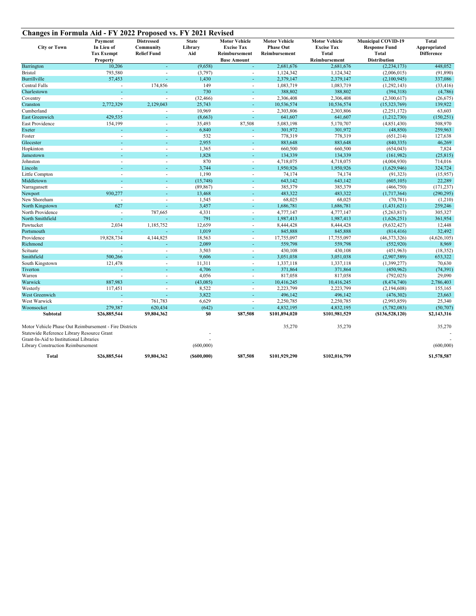| Changes in Formula Aid - FY 2022 Proposed vs. FY 2021 Revised                         |                   |                    |                |                          |                      |                      |                           |                   |
|---------------------------------------------------------------------------------------|-------------------|--------------------|----------------|--------------------------|----------------------|----------------------|---------------------------|-------------------|
|                                                                                       | Payment           | <b>Distressed</b>  | <b>State</b>   | <b>Motor Vehicle</b>     | <b>Motor Vehicle</b> | <b>Motor Vehicle</b> | <b>Municipal COVID-19</b> | <b>Total</b>      |
| <b>City or Town</b>                                                                   | In Lieu of        | Community          | Library        | <b>Excise Tax</b>        | <b>Phase Out</b>     | <b>Excise Tax</b>    | <b>Response Fund</b>      | Appropriated      |
|                                                                                       | <b>Tax Exempt</b> | <b>Relief Fund</b> | Aid            | Reimbursement            | Reimbursement        | <b>Total</b>         | <b>Total</b>              | <b>Difference</b> |
|                                                                                       | Property          |                    |                | <b>Base Amount</b>       |                      | Reimbursement        | <b>Distribution</b>       |                   |
| Barrington                                                                            | 10,206            | ÷,                 | (9,658)        | ÷.                       | 2,681,676            | 2,681,676            | (2, 234, 173)             | 448,052           |
| <b>Bristol</b>                                                                        | 793,580           | ÷,                 | (3,797)        | $\overline{\phantom{a}}$ | 1,124,342            | 1,124,342            | (2,006,015)               | (91, 890)         |
| Burrillville                                                                          | 57,453            | ÷,                 | 1,430          |                          | 2,379,147            | 2,379,147            | (2,100,945)               | 337,086           |
| <b>Central Falls</b>                                                                  |                   | 174,856            | 149            | $\overline{a}$           | 1,083,719            | 1,083,719            | (1,292,143)               | (33, 416)         |
| Charlestown                                                                           | ÷                 | ä,                 | 730            | ÷                        | 388,802              | 388,802              | (394,318)                 | (4,786)           |
| Coventry                                                                              | ÷.                | ÷,                 | (32, 466)      | $\overline{\phantom{a}}$ | 2,306,408            | 2,306,408            | (2,300,617)               | (26, 675)         |
| Cranston                                                                              | 2,772,329         | 2,129,043          | 25,743         |                          | 10,536,574           | 10,536,574           | (15,323,769)              | 139,922           |
| Cumberland                                                                            | ÷.                | ä,                 | 10,969         | $\sim$                   | 2,303,806            | 2,303,806            | (2,251,172)               | 63,603            |
| East Greenwich                                                                        | 429,535           | ÷                  | (8,663)        | $\sim$                   | 641,607              | 641,607              | (1,212,730)               | (150, 251)        |
| East Providence                                                                       | 154,199           | ÷,                 | 35,493         | 87,508                   | 5,083,198            | 5,170,707            | (4,851,430)               | 508,970           |
| Exeter                                                                                |                   |                    | 6,840          | ÷,                       | 301,972              | 301,972              | (48, 850)                 | 259,963           |
| Foster                                                                                | ÷,                | ÷,                 | 532            | $\overline{\phantom{a}}$ | 778,319              | 778,319              | (651,214)                 | 127,638           |
| Glocester                                                                             | ÷                 | ÷                  | 2,955          | ÷.                       | 883,648              | 883,648              | (840, 335)                | 46,269            |
| Hopkinton                                                                             | ä,                | ä,                 | 1,365          | $\sim$                   | 660,500              | 660,500              | (654, 043)                | 7,824             |
| Jamestown                                                                             |                   |                    | 1.828          |                          | 134,339              | 134,339              | (161,982)                 | (25, 815)         |
| Johnston                                                                              | ÷.                | ÷.                 | 870            | $\overline{\phantom{a}}$ | 4,718,075            | 4,718,075            | (4,004,930)               | 714,016           |
| Lincoln                                                                               |                   | ÷                  | 3,744          | $\sim$                   | 1,950,926            | 1,950,926            | (1,629,946)               | 324,724           |
| Little Compton                                                                        |                   | ÷.                 | 1,190          | $\overline{\phantom{a}}$ | 74,174               | 74,174               | (91, 323)                 | (15,957)          |
| Middletown                                                                            | ä,                | ÷                  | (15,748)       | ÷,                       | 643,142              | 643,142              | (605, 105)                | 22,289            |
| Narragansett                                                                          | ÷,                | ÷.                 | (89, 867)      | $\overline{\phantom{a}}$ | 385,379              | 385,379              | (466,750)                 | (171, 237)        |
| Newport                                                                               | 930,277           |                    | 13,468         | ÷                        | 483,322              | 483,322              | (1,717,364)               | (290, 295)        |
| New Shoreham                                                                          | ÷,                | ÷,                 | 1,545          | ÷.                       | 68,025               | 68,025               | (70, 781)                 | (1,210)           |
| North Kingstown                                                                       | 627               | ÷                  | 3,457          | ÷                        | 1,686,781            | 1,686,781            | (1,431,621)               | 259,246           |
| North Providence                                                                      | ä,                | 787,665            | 4,331          | $\overline{\phantom{a}}$ | 4,777,147            | 4,777,147            | (5,263,817)               | 305,327           |
| North Smithfield                                                                      | ÷,                | ÷,                 | 791            | $\sim$                   | 1,987,413            | 1,987,413            | (1,626,251)               | 361,954           |
| Pawtucket                                                                             | 2,034             | 1,185,752          | 12,659         | ÷.                       | 8,444,428            | 8,444,428            | (9,632,427)               | 12,448            |
| Portsmouth                                                                            | ä,                | ÷,                 | 1,019          | ÷.                       | 845,888              | 845,888              | (814, 416)                | 32,492            |
| Providence                                                                            | 19,828,734        | 4,144,825          | 18,563         | $\overline{\phantom{a}}$ | 17,755,097           | 17,755,097           | (46,373,326)              | (4,626,105)       |
| Richmond                                                                              |                   |                    | 2,089          | ÷.                       | 559,798              | 559,798              | (552, 920)                | 8,969             |
| Scituate                                                                              | ÷,                | ä,                 | 3,503          | ÷.                       | 430,108              | 430,108              | (451,963)                 | (18, 352)         |
| Smithfield                                                                            | 500,266           | ÷                  | 9,606          | ÷.                       | 3,051,038            | 3,051,038            | (2,907,589)               | 653,322           |
| South Kingstown                                                                       | 121,478           | ×                  | 11,311         | $\sim$                   | 1,337,118            | 1,337,118            | (1,399,277)               | 70,630            |
| Tiverton                                                                              |                   |                    | 4,706          | ٠                        | 371,864              | 371,864              | (450,962)                 | (74, 391)         |
| Warren                                                                                |                   |                    | 4,056          | ÷,                       | 817,058              | 817,058              | (792, 025)                | 29,090            |
| Warwick                                                                               | 887,983           | ä,                 | (43,085)       | ÷.                       | 10,416,245           | 10,416,245           | (8,474,740)               | 2,786,403         |
| Westerly                                                                              | 117,451           | ä,                 | 8,522          | ÷.                       | 2,223,799            | 2,223,799            | (2,194,608)               | 155,165           |
| West Greenwich                                                                        |                   |                    | 3,822          |                          | 496,142              | 496,142              | (476,302)                 | 23,663            |
| West Warwick                                                                          | ä,                | 761,783            | 6,629          | ÷.                       | 2,250,785            | 2,250,785            | (2,993,859)               | 25,340            |
| Woonsocket                                                                            | 279,387           | 620,434            | (642)          | ÷,                       | 4,832,195            | 4,832,195            | (5,782,083)               | (50, 707)         |
| Subtotal                                                                              | \$26,885,544      | \$9,804,362        | \$0            | \$87,508                 | \$101,894,020        | \$101,981,529        | (S136, 528, 120)          | \$2,143,316       |
| Motor Vehicle Phase Out Reimbursement - Fire Districts                                |                   |                    |                |                          | 35,270               | 35,270               |                           | 35,270            |
| Statewide Reference Library Resource Grant<br>Grant-In-Aid to Institutional Libraries |                   |                    |                |                          |                      |                      |                           |                   |
| Library Construction Reimbursement                                                    |                   |                    | (600,000)      |                          |                      |                      |                           | (600,000)         |
| Total                                                                                 | \$26,885,544      | \$9,804,362        | $($ \$600,000) | \$87,508                 | \$101,929,290        | \$102,016,799        |                           | \$1,578,587       |